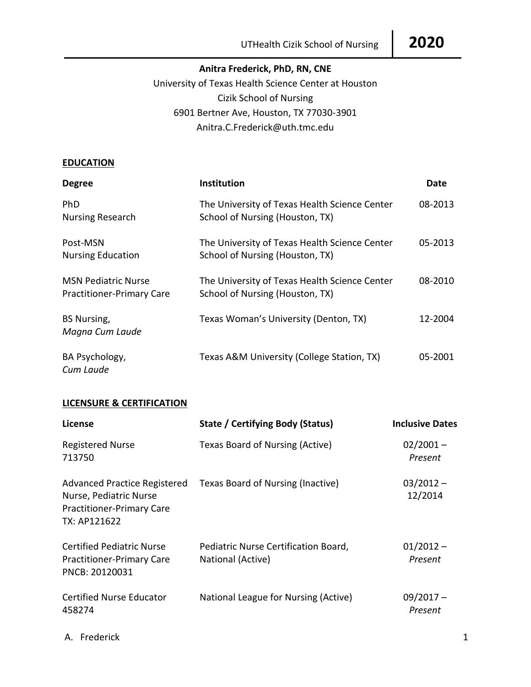## **Anitra Frederick, PhD, RN, CNE**

University of Texas Health Science Center at Houston Cizik School of Nursing 6901 Bertner Ave, Houston, TX 77030-3901 Anitra.C.Frederick@uth.tmc.edu

## **EDUCATION**

| <b>Degree</b>                                                  | <b>Institution</b>                                                               | Date    |
|----------------------------------------------------------------|----------------------------------------------------------------------------------|---------|
| <b>PhD</b><br><b>Nursing Research</b>                          | The University of Texas Health Science Center<br>School of Nursing (Houston, TX) | 08-2013 |
| Post-MSN<br><b>Nursing Education</b>                           | The University of Texas Health Science Center<br>School of Nursing (Houston, TX) | 05-2013 |
| <b>MSN Pediatric Nurse</b><br><b>Practitioner-Primary Care</b> | The University of Texas Health Science Center<br>School of Nursing (Houston, TX) | 08-2010 |
| <b>BS Nursing,</b><br>Magna Cum Laude                          | Texas Woman's University (Denton, TX)                                            | 12-2004 |
| BA Psychology,<br>Cum Laude                                    | Texas A&M University (College Station, TX)                                       | 05-2001 |

#### **LICENSURE & CERTIFICATION**

| License                                                                                                           | State / Certifying Body (Status)                          | <b>Inclusive Dates</b> |
|-------------------------------------------------------------------------------------------------------------------|-----------------------------------------------------------|------------------------|
| <b>Registered Nurse</b><br>713750                                                                                 | Texas Board of Nursing (Active)                           | $02/2001 -$<br>Present |
| <b>Advanced Practice Registered</b><br>Nurse, Pediatric Nurse<br><b>Practitioner-Primary Care</b><br>TX: AP121622 | Texas Board of Nursing (Inactive)                         | $03/2012 -$<br>12/2014 |
| <b>Certified Pediatric Nurse</b><br><b>Practitioner-Primary Care</b><br>PNCB: 20120031                            | Pediatric Nurse Certification Board,<br>National (Active) | $01/2012 -$<br>Present |
| <b>Certified Nurse Educator</b><br>458274                                                                         | National League for Nursing (Active)                      | $09/2017 -$<br>Present |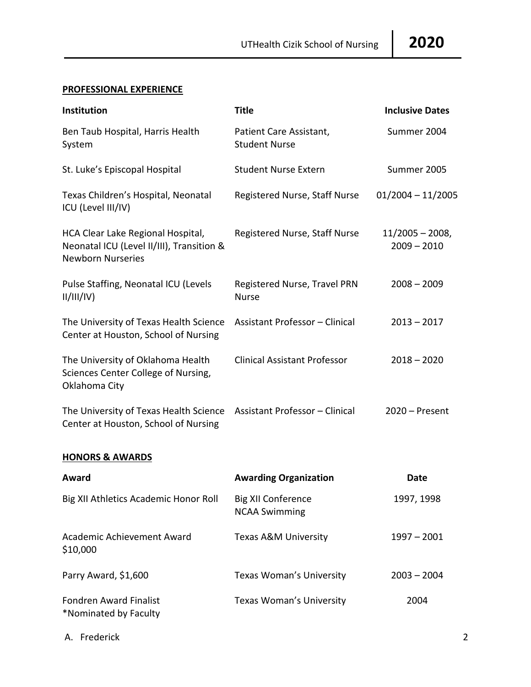# **PROFESSIONAL EXPERIENCE**

| Institution                                                                                                | <b>Title</b>                                    | <b>Inclusive Dates</b>            |
|------------------------------------------------------------------------------------------------------------|-------------------------------------------------|-----------------------------------|
| Ben Taub Hospital, Harris Health<br>System                                                                 | Patient Care Assistant,<br><b>Student Nurse</b> | Summer 2004                       |
| St. Luke's Episcopal Hospital                                                                              | <b>Student Nurse Extern</b>                     | Summer 2005                       |
| Texas Children's Hospital, Neonatal<br>ICU (Level III/IV)                                                  | Registered Nurse, Staff Nurse                   | $01/2004 - 11/2005$               |
| HCA Clear Lake Regional Hospital,<br>Neonatal ICU (Level II/III), Transition &<br><b>Newborn Nurseries</b> | Registered Nurse, Staff Nurse                   | $11/2005 - 2008$<br>$2009 - 2010$ |
| Pulse Staffing, Neonatal ICU (Levels<br>II/III/IV)                                                         | Registered Nurse, Travel PRN<br><b>Nurse</b>    | $2008 - 2009$                     |
| The University of Texas Health Science<br>Center at Houston, School of Nursing                             | Assistant Professor - Clinical                  | $2013 - 2017$                     |
| The University of Oklahoma Health<br>Sciences Center College of Nursing,<br>Oklahoma City                  | <b>Clinical Assistant Professor</b>             | $2018 - 2020$                     |
| The University of Texas Health Science<br>Center at Houston, School of Nursing                             | <b>Assistant Professor - Clinical</b>           | $2020 -$ Present                  |

# **HONORS & AWARDS**

| Award                                                  | <b>Awarding Organization</b>                      | Date          |
|--------------------------------------------------------|---------------------------------------------------|---------------|
| Big XII Athletics Academic Honor Roll                  | <b>Big XII Conference</b><br><b>NCAA Swimming</b> | 1997, 1998    |
| Academic Achievement Award<br>\$10,000                 | Texas A&M University                              | $1997 - 2001$ |
| Parry Award, \$1,600                                   | <b>Texas Woman's University</b>                   | $2003 - 2004$ |
| <b>Fondren Award Finalist</b><br>*Nominated by Faculty | <b>Texas Woman's University</b>                   | 2004          |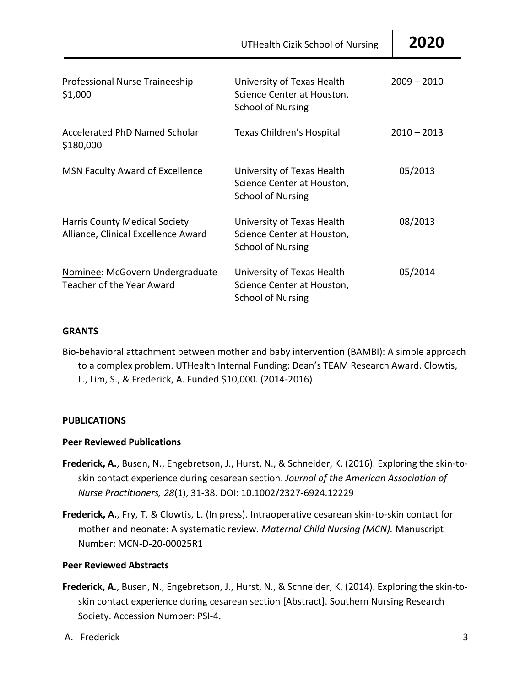| UTHealth Cizik School of Nursing   2020 |  |
|-----------------------------------------|--|
|-----------------------------------------|--|

| Professional Nurse Traineeship<br>\$1,000                                   | University of Texas Health<br>Science Center at Houston,<br><b>School of Nursing</b> | $2009 - 2010$ |
|-----------------------------------------------------------------------------|--------------------------------------------------------------------------------------|---------------|
| Accelerated PhD Named Scholar<br>\$180,000                                  | Texas Children's Hospital                                                            | $2010 - 2013$ |
| <b>MSN Faculty Award of Excellence</b>                                      | University of Texas Health<br>Science Center at Houston,<br><b>School of Nursing</b> | 05/2013       |
| <b>Harris County Medical Society</b><br>Alliance, Clinical Excellence Award | University of Texas Health<br>Science Center at Houston,<br><b>School of Nursing</b> | 08/2013       |
| Nominee: McGovern Undergraduate<br>Teacher of the Year Award                | University of Texas Health<br>Science Center at Houston,<br><b>School of Nursing</b> | 05/2014       |

## **GRANTS**

Bio-behavioral attachment between mother and baby intervention (BAMBI): A simple approach to a complex problem. UTHealth Internal Funding: Dean's TEAM Research Award. Clowtis, L., Lim, S., & Frederick, A. Funded \$10,000. (2014-2016)

## **PUBLICATIONS**

## **Peer Reviewed Publications**

- **Frederick, A.**, Busen, N., Engebretson, J., Hurst, N., & Schneider, K. (2016). Exploring the skin-toskin contact experience during cesarean section. *Journal of the American Association of Nurse Practitioners, 28*(1), 31-38. DOI: 10.1002/2327-6924.12229
- **Frederick, A.**, Fry, T. & Clowtis, L. (In press). Intraoperative cesarean skin-to-skin contact for mother and neonate: A systematic review. *Maternal Child Nursing (MCN).* Manuscript Number: MCN-D-20-00025R1

## **Peer Reviewed Abstracts**

- **Frederick, A.**, Busen, N., Engebretson, J., Hurst, N., & Schneider, K. (2014). Exploring the skin-toskin contact experience during cesarean section [Abstract]. Southern Nursing Research Society. Accession Number: PSI-4.
- A. Frederick 3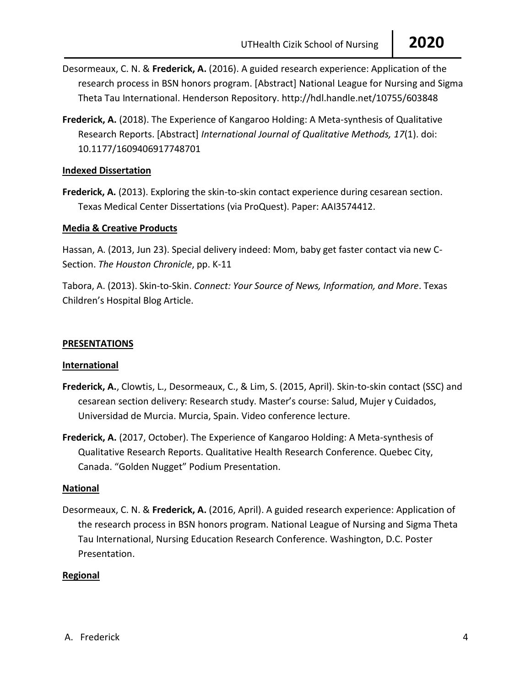- Desormeaux, C. N. & **Frederick, A.** (2016). A guided research experience: Application of the research process in BSN honors program. [Abstract] National League for Nursing and Sigma Theta Tau International. Henderson Repository. http://hdl.handle.net/10755/603848
- **Frederick, A.** (2018). The Experience of Kangaroo Holding: A Meta-synthesis of Qualitative Research Reports. [Abstract] *International Journal of Qualitative Methods, 17*(1). doi: 10.1177/1609406917748701

## **Indexed Dissertation**

**Frederick, A.** (2013). Exploring the skin-to-skin contact experience during cesarean section. Texas Medical Center Dissertations (via ProQuest). Paper: AAI3574412.

## **Media & Creative Products**

Hassan, A. (2013, Jun 23). Special delivery indeed: Mom, baby get faster contact via new C-Section. *The Houston Chronicle*, pp. K-11

Tabora, A. (2013). Skin-to-Skin. *Connect: Your Source of News, Information, and More*. Texas Children's Hospital Blog Article.

## **PRESENTATIONS**

## **International**

- **Frederick, A.**, Clowtis, L., Desormeaux, C., & Lim, S. (2015, April). Skin-to-skin contact (SSC) and cesarean section delivery: Research study. Master's course: Salud, Mujer y Cuidados, Universidad de Murcia. Murcia, Spain. Video conference lecture.
- **Frederick, A.** (2017, October). The Experience of Kangaroo Holding: A Meta-synthesis of Qualitative Research Reports. Qualitative Health Research Conference. Quebec City, Canada. "Golden Nugget" Podium Presentation.

## **National**

Desormeaux, C. N. & **Frederick, A.** (2016, April). A guided research experience: Application of the research process in BSN honors program. National League of Nursing and Sigma Theta Tau International, Nursing Education Research Conference. Washington, D.C. Poster Presentation.

## **Regional**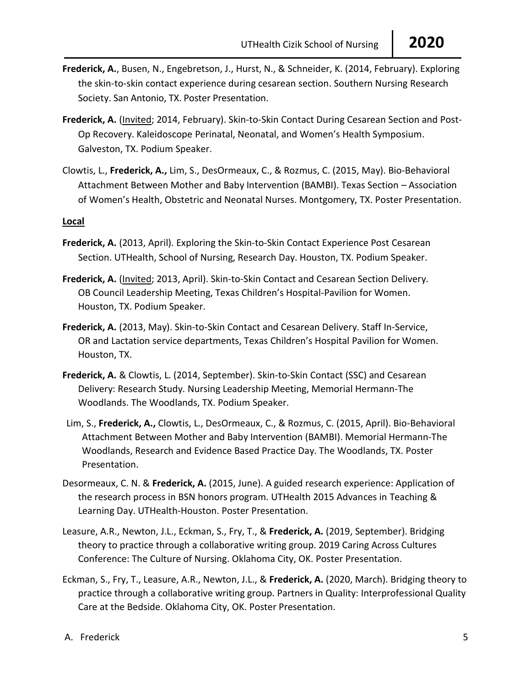- **Frederick, A.**, Busen, N., Engebretson, J., Hurst, N., & Schneider, K. (2014, February). Exploring the skin-to-skin contact experience during cesarean section. Southern Nursing Research Society. San Antonio, TX. Poster Presentation.
- **Frederick, A.** (Invited; 2014, February). Skin-to-Skin Contact During Cesarean Section and Post-Op Recovery. Kaleidoscope Perinatal, Neonatal, and Women's Health Symposium. Galveston, TX. Podium Speaker.
- Clowtis, L., **Frederick, A.,** Lim, S., DesOrmeaux, C., & Rozmus, C. (2015, May). Bio-Behavioral Attachment Between Mother and Baby Intervention (BAMBI). Texas Section – Association of Women's Health, Obstetric and Neonatal Nurses. Montgomery, TX. Poster Presentation.

## **Local**

- **Frederick, A.** (2013, April). Exploring the Skin-to-Skin Contact Experience Post Cesarean Section. UTHealth, School of Nursing, Research Day. Houston, TX. Podium Speaker.
- **Frederick, A.** (Invited; 2013, April). Skin-to-Skin Contact and Cesarean Section Delivery. OB Council Leadership Meeting, Texas Children's Hospital-Pavilion for Women. Houston, TX. Podium Speaker.
- **Frederick, A.** (2013, May). Skin-to-Skin Contact and Cesarean Delivery. Staff In-Service, OR and Lactation service departments, Texas Children's Hospital Pavilion for Women. Houston, TX.
- **Frederick, A.** & Clowtis, L. (2014, September). Skin-to-Skin Contact (SSC) and Cesarean Delivery: Research Study. Nursing Leadership Meeting, Memorial Hermann-The Woodlands. The Woodlands, TX. Podium Speaker.
- Lim, S., **Frederick, A.,** Clowtis, L., DesOrmeaux, C., & Rozmus, C. (2015, April). Bio-Behavioral Attachment Between Mother and Baby Intervention (BAMBI). Memorial Hermann-The Woodlands, Research and Evidence Based Practice Day. The Woodlands, TX. Poster Presentation.
- Desormeaux, C. N. & **Frederick, A.** (2015, June). A guided research experience: Application of the research process in BSN honors program. UTHealth 2015 Advances in Teaching & Learning Day. UTHealth-Houston. Poster Presentation.
- Leasure, A.R., Newton, J.L., Eckman, S., Fry, T., & **Frederick, A.** (2019, September). Bridging theory to practice through a collaborative writing group. 2019 Caring Across Cultures Conference: The Culture of Nursing. Oklahoma City, OK. Poster Presentation.
- Eckman, S., Fry, T., Leasure, A.R., Newton, J.L., & **Frederick, A.** (2020, March). Bridging theory to practice through a collaborative writing group. Partners in Quality: Interprofessional Quality Care at the Bedside. Oklahoma City, OK. Poster Presentation.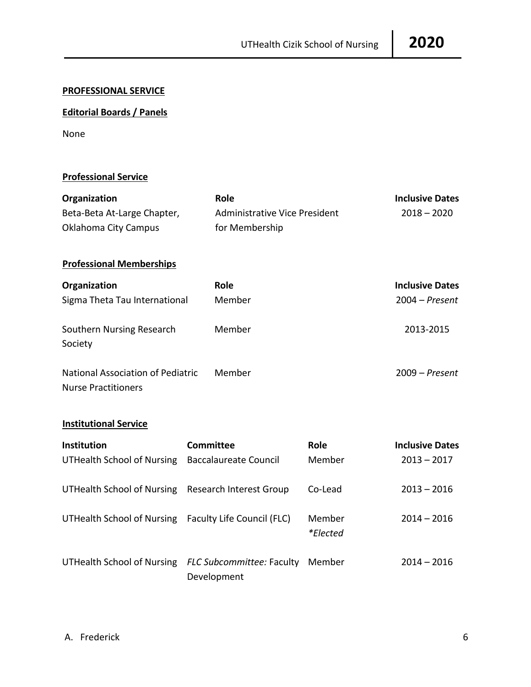## **PROFESSIONAL SERVICE**

# **Editorial Boards / Panels**

None

## **Professional Service**

| Organization                                                           | Role                                 |                           | <b>Inclusive Dates</b> |
|------------------------------------------------------------------------|--------------------------------------|---------------------------|------------------------|
| Beta-Beta At-Large Chapter,                                            | <b>Administrative Vice President</b> |                           | $2018 - 2020$          |
| <b>Oklahoma City Campus</b>                                            | for Membership                       |                           |                        |
| <b>Professional Memberships</b>                                        |                                      |                           |                        |
| Organization                                                           | Role                                 |                           | <b>Inclusive Dates</b> |
| Sigma Theta Tau International                                          | Member                               |                           | $2004 - Present$       |
| Southern Nursing Research<br>Society                                   | Member                               |                           | 2013-2015              |
| <b>National Association of Pediatric</b><br><b>Nurse Practitioners</b> | Member                               |                           | $2009 - Present$       |
| <b>Institutional Service</b>                                           |                                      |                           |                        |
| Institution                                                            | <b>Committee</b>                     | Role                      | <b>Inclusive Dates</b> |
| <b>UTHealth School of Nursing</b>                                      | <b>Baccalaureate Council</b>         | Member                    | $2013 - 2017$          |
| <b>UTHealth School of Nursing</b>                                      | Research Interest Group              | Co-Lead                   | $2013 - 2016$          |
| <b>UTHealth School of Nursing</b>                                      | Faculty Life Council (FLC)           | Member<br><i>*Elected</i> | $2014 - 2016$          |
| UTHealth School of Nursing FLC Subcommittee: Faculty                   |                                      | Member                    | $2014 - 2016$          |

Development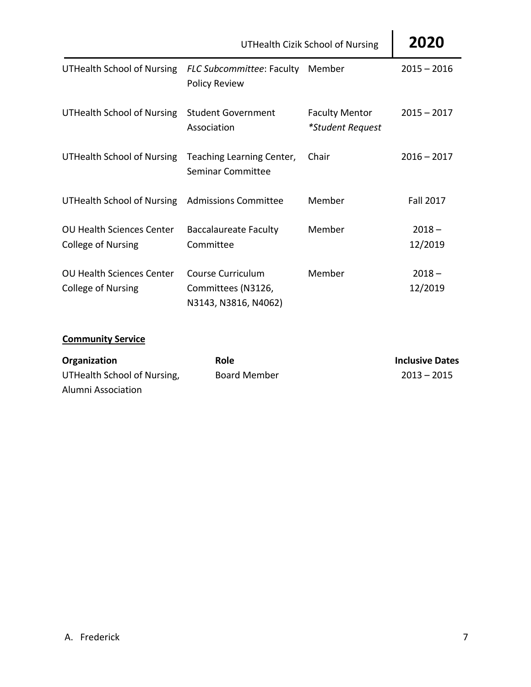|                                                               | <b>UTHealth Cizik School of Nursing</b>                         | 2020                                      |                     |
|---------------------------------------------------------------|-----------------------------------------------------------------|-------------------------------------------|---------------------|
| <b>UTHealth School of Nursing</b>                             | FLC Subcommittee: Faculty<br><b>Policy Review</b>               | Member                                    | $2015 - 2016$       |
| <b>UTHealth School of Nursing</b>                             | <b>Student Government</b><br>Association                        | <b>Faculty Mentor</b><br>*Student Request | $2015 - 2017$       |
| UTHealth School of Nursing                                    | Teaching Learning Center,<br>Seminar Committee                  | Chair                                     | $2016 - 2017$       |
| UTHealth School of Nursing                                    | <b>Admissions Committee</b>                                     | Member                                    | <b>Fall 2017</b>    |
| <b>OU Health Sciences Center</b><br><b>College of Nursing</b> | <b>Baccalaureate Faculty</b><br>Committee                       | Member                                    | $2018 -$<br>12/2019 |
| <b>OU Health Sciences Center</b><br><b>College of Nursing</b> | Course Curriculum<br>Committees (N3126,<br>N3143, N3816, N4062) | Member                                    | $2018 -$<br>12/2019 |

# **Community Service**

| Organization                | <b>Role</b>         | <b>Inclusive Dates</b> |
|-----------------------------|---------------------|------------------------|
| UTHealth School of Nursing, | <b>Board Member</b> | $2013 - 2015$          |
| Alumni Association          |                     |                        |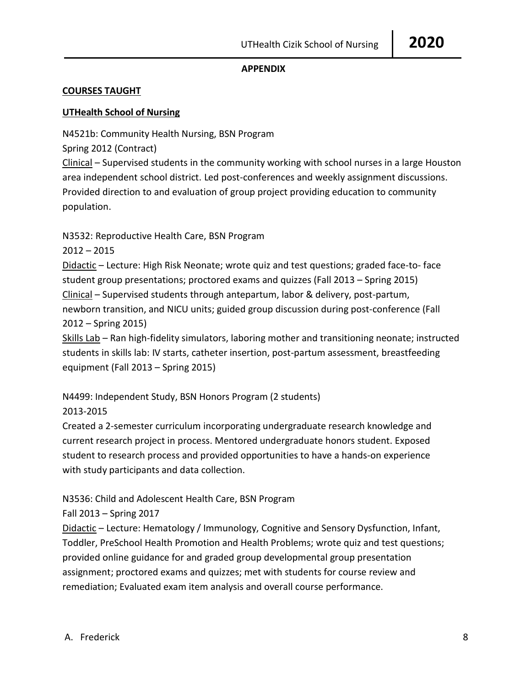## **APPENDIX**

## **COURSES TAUGHT**

## **UTHealth School of Nursing**

N4521b: Community Health Nursing, BSN Program

Spring 2012 (Contract)

Clinical – Supervised students in the community working with school nurses in a large Houston area independent school district. Led post-conferences and weekly assignment discussions. Provided direction to and evaluation of group project providing education to community population.

N3532: Reproductive Health Care, BSN Program

2012 – 2015

Didactic – Lecture: High Risk Neonate; wrote quiz and test questions; graded face-to- face student group presentations; proctored exams and quizzes (Fall 2013 – Spring 2015) Clinical – Supervised students through antepartum, labor & delivery, post-partum, newborn transition, and NICU units; guided group discussion during post-conference (Fall 2012 – Spring 2015)

Skills Lab – Ran high-fidelity simulators, laboring mother and transitioning neonate; instructed students in skills lab: IV starts, catheter insertion, post-partum assessment, breastfeeding equipment (Fall 2013 – Spring 2015)

N4499: Independent Study, BSN Honors Program (2 students) 2013-2015

Created a 2-semester curriculum incorporating undergraduate research knowledge and current research project in process. Mentored undergraduate honors student. Exposed student to research process and provided opportunities to have a hands-on experience with study participants and data collection.

N3536: Child and Adolescent Health Care, BSN Program

Fall 2013 – Spring 2017

Didactic – Lecture: Hematology / Immunology, Cognitive and Sensory Dysfunction, Infant, Toddler, PreSchool Health Promotion and Health Problems; wrote quiz and test questions; provided online guidance for and graded group developmental group presentation assignment; proctored exams and quizzes; met with students for course review and remediation; Evaluated exam item analysis and overall course performance.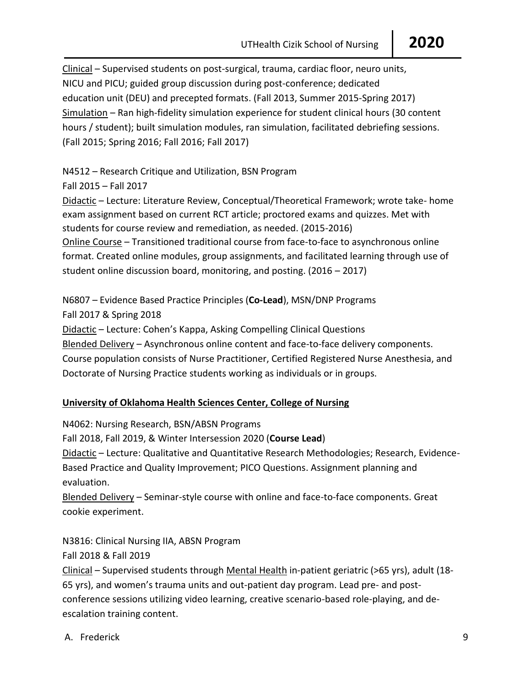Clinical – Supervised students on post-surgical, trauma, cardiac floor, neuro units, NICU and PICU; guided group discussion during post-conference; dedicated education unit (DEU) and precepted formats. (Fall 2013, Summer 2015-Spring 2017) Simulation – Ran high-fidelity simulation experience for student clinical hours (30 content hours / student); built simulation modules, ran simulation, facilitated debriefing sessions. (Fall 2015; Spring 2016; Fall 2016; Fall 2017)

N4512 – Research Critique and Utilization, BSN Program

Fall 2015 – Fall 2017

Didactic – Lecture: Literature Review, Conceptual/Theoretical Framework; wrote take- home exam assignment based on current RCT article; proctored exams and quizzes. Met with students for course review and remediation, as needed. (2015-2016) Online Course – Transitioned traditional course from face-to-face to asynchronous online format. Created online modules, group assignments, and facilitated learning through use of student online discussion board, monitoring, and posting. (2016 – 2017)

N6807 – Evidence Based Practice Principles (**Co-Lead**), MSN/DNP Programs Fall 2017 & Spring 2018 Didactic – Lecture: Cohen's Kappa, Asking Compelling Clinical Questions Blended Delivery – Asynchronous online content and face-to-face delivery components. Course population consists of Nurse Practitioner, Certified Registered Nurse Anesthesia, and Doctorate of Nursing Practice students working as individuals or in groups.

# **University of Oklahoma Health Sciences Center, College of Nursing**

N4062: Nursing Research, BSN/ABSN Programs Fall 2018, Fall 2019, & Winter Intersession 2020 (**Course Lead**) Didactic – Lecture: Qualitative and Quantitative Research Methodologies; Research, Evidence-Based Practice and Quality Improvement; PICO Questions. Assignment planning and evaluation. Blended Delivery – Seminar-style course with online and face-to-face components. Great

cookie experiment.

N3816: Clinical Nursing IIA, ABSN Program Fall 2018 & Fall 2019

Clinical – Supervised students through Mental Health in-patient geriatric (>65 yrs), adult (18- 65 yrs), and women's trauma units and out-patient day program. Lead pre- and postconference sessions utilizing video learning, creative scenario-based role-playing, and deescalation training content.

A. Frederick 9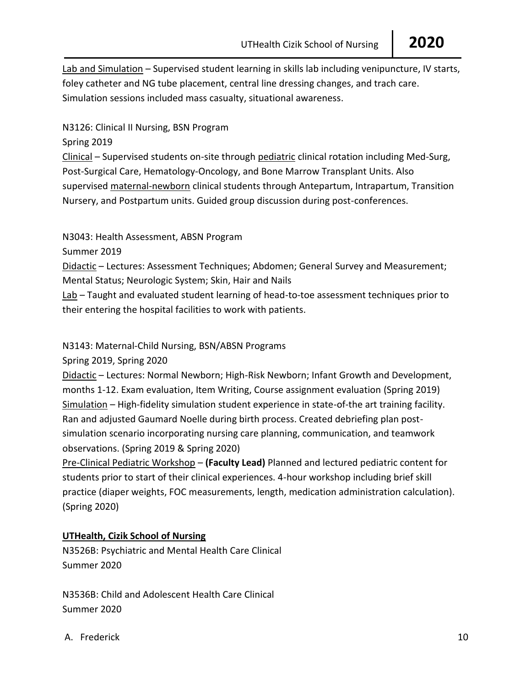Lab and Simulation – Supervised student learning in skills lab including venipuncture, IV starts, foley catheter and NG tube placement, central line dressing changes, and trach care. Simulation sessions included mass casualty, situational awareness.

## N3126: Clinical II Nursing, BSN Program

Spring 2019

Clinical – Supervised students on-site through pediatric clinical rotation including Med-Surg, Post-Surgical Care, Hematology-Oncology, and Bone Marrow Transplant Units. Also supervised maternal-newborn clinical students through Antepartum, Intrapartum, Transition Nursery, and Postpartum units. Guided group discussion during post-conferences.

N3043: Health Assessment, ABSN Program

Summer 2019

Didactic – Lectures: Assessment Techniques; Abdomen; General Survey and Measurement; Mental Status; Neurologic System; Skin, Hair and Nails

Lab - Taught and evaluated student learning of head-to-toe assessment techniques prior to their entering the hospital facilities to work with patients.

## N3143: Maternal-Child Nursing, BSN/ABSN Programs

Spring 2019, Spring 2020

Didactic – Lectures: Normal Newborn; High-Risk Newborn; Infant Growth and Development, months 1-12. Exam evaluation, Item Writing, Course assignment evaluation (Spring 2019) Simulation – High-fidelity simulation student experience in state-of-the art training facility. Ran and adjusted Gaumard Noelle during birth process. Created debriefing plan postsimulation scenario incorporating nursing care planning, communication, and teamwork observations. (Spring 2019 & Spring 2020)

Pre-Clinical Pediatric Workshop – **(Faculty Lead)** Planned and lectured pediatric content for students prior to start of their clinical experiences. 4-hour workshop including brief skill practice (diaper weights, FOC measurements, length, medication administration calculation). (Spring 2020)

# **UTHealth, Cizik School of Nursing**

N3526B: Psychiatric and Mental Health Care Clinical Summer 2020

N3536B: Child and Adolescent Health Care Clinical Summer 2020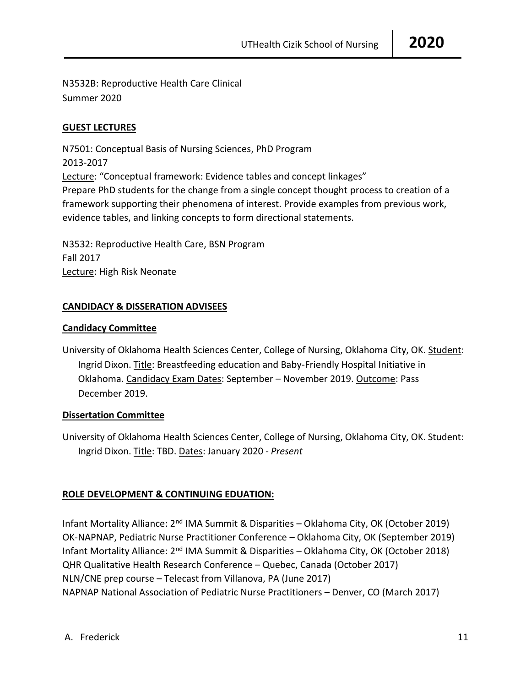N3532B: Reproductive Health Care Clinical Summer 2020

## **GUEST LECTURES**

N7501: Conceptual Basis of Nursing Sciences, PhD Program 2013-2017 Lecture: "Conceptual framework: Evidence tables and concept linkages" Prepare PhD students for the change from a single concept thought process to creation of a framework supporting their phenomena of interest. Provide examples from previous work, evidence tables, and linking concepts to form directional statements.

N3532: Reproductive Health Care, BSN Program Fall 2017 Lecture: High Risk Neonate

## **CANDIDACY & DISSERATION ADVISEES**

## **Candidacy Committee**

University of Oklahoma Health Sciences Center, College of Nursing, Oklahoma City, OK. Student: Ingrid Dixon. Title: Breastfeeding education and Baby-Friendly Hospital Initiative in Oklahoma. Candidacy Exam Dates: September – November 2019. Outcome: Pass December 2019.

## **Dissertation Committee**

University of Oklahoma Health Sciences Center, College of Nursing, Oklahoma City, OK. Student: Ingrid Dixon. Title: TBD. Dates: January 2020 - *Present*

## **ROLE DEVELOPMENT & CONTINUING EDUATION:**

Infant Mortality Alliance:  $2<sup>nd</sup>$  IMA Summit & Disparities – Oklahoma City, OK (October 2019) OK-NAPNAP, Pediatric Nurse Practitioner Conference – Oklahoma City, OK (September 2019) Infant Mortality Alliance:  $2<sup>nd</sup>$  IMA Summit & Disparities – Oklahoma City, OK (October 2018) QHR Qualitative Health Research Conference – Quebec, Canada (October 2017) NLN/CNE prep course – Telecast from Villanova, PA (June 2017) NAPNAP National Association of Pediatric Nurse Practitioners – Denver, CO (March 2017)